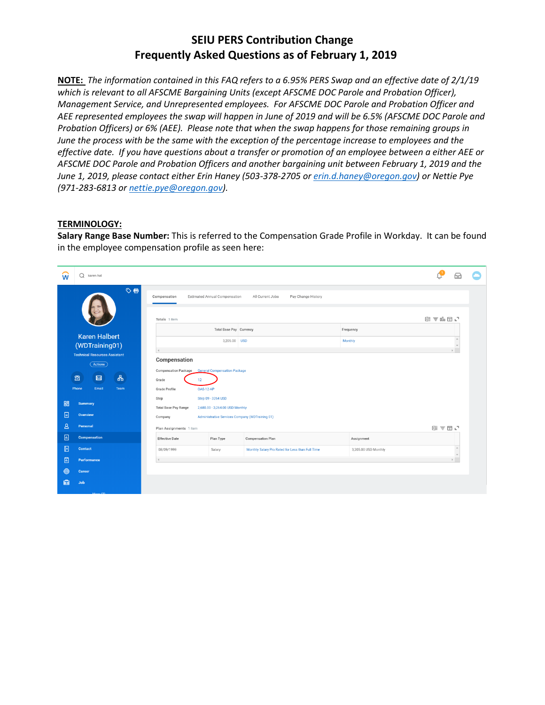# **SEIU PERS Contribution Change Frequently Asked Questions as of February 1, 2019**

**NOTE:** *The information contained in this FAQ refers to a 6.95% PERS Swap and an effective date of 2/1/19 which is relevant to all AFSCME Bargaining Units (except AFSCME DOC Parole and Probation Officer), Management Service, and Unrepresented employees. For AFSCME DOC Parole and Probation Officer and AEE represented employees the swap will happen in June of 2019 and will be 6.5% (AFSCME DOC Parole and Probation Officers) or 6% (AEE). Please note that when the swap happens for those remaining groups in June the process with be the same with the exception of the percentage increase to employees and the effective date. If you have questions about a transfer or promotion of an employee between a either AEE or AFSCME DOC Parole and Probation Officers and another bargaining unit between February 1, 2019 and the June 1, 2019, please contact either Erin Haney (503-378-2705 or [erin.d.haney@oregon.gov\)](mailto:erin.d.haney@oregon.gov) or Nettie Pye (971-283-6813 or [nettie.pye@oregon.gov\)](mailto:nettie.pye@oregon.gov).* 

#### **TERMINOLOGY:**

**Salary Range Base Number:** This is referred to the Compensation Grade Profile in Workday. It can be found in the employee compensation profile as seen here:

| w            | $\Omega$<br>karen hal                |                                   |                                     |                                                  |                      |       | Æ                     |  |
|--------------|--------------------------------------|-----------------------------------|-------------------------------------|--------------------------------------------------|----------------------|-------|-----------------------|--|
|              | ♡目                                   | Compensation                      | Estimated Annual Compensation       | All Current Jobs<br>Pay Change History           |                      |       |                       |  |
|              |                                      | Totals 1 item                     |                                     |                                                  |                      | 예호매피덕 |                       |  |
|              | <b>Karen Halbert</b>                 |                                   | Total Base Pay Currency             |                                                  | Frequency            |       |                       |  |
|              | (WDTraining01)                       |                                   | 3,205.00 USD                        |                                                  | Monthly              |       | $\Delta$<br>$\forall$ |  |
|              | <b>Technical Resources Assistant</b> | $\overline{a}$                    |                                     |                                                  |                      |       |                       |  |
|              | Actions                              | Compensation                      |                                     |                                                  |                      |       |                       |  |
|              |                                      | <b>Compensation Package</b>       | <b>General Compensation Package</b> |                                                  |                      |       |                       |  |
|              | 品<br>图<br>図                          | 12<br>Grade                       |                                     |                                                  |                      |       |                       |  |
|              | Email<br>Team<br>Phone               | Grade Profile<br><b>OAS-12-AP</b> |                                     |                                                  |                      |       |                       |  |
| 品            | <b>Summary</b>                       | Step                              | Step 09 - 3264 USD                  |                                                  |                      |       |                       |  |
|              |                                      | <b>Total Base Pay Range</b>       | 2,680.00 - 3,264.00 USD Monthly     |                                                  |                      |       |                       |  |
| 日            | Overview                             | Company                           |                                     | Administrative Services Company (WDTraining 01)  |                      |       |                       |  |
| $\mathsf B$  | Personal                             | Plan Assignments 1 item           |                                     |                                                  |                      | 困ま団に  |                       |  |
| 画            | <b>Compensation</b>                  | <b>Effective Date</b>             | Plan Type                           | <b>Compensation Plan</b>                         | Assignment           |       |                       |  |
| $\mathbf{E}$ | Contact                              | 08/09/1999                        | Salary                              | Monthly Salary Pro Rated for Less than Full Time | 3,205.00 USD Monthly |       | $\bar{a}$<br>$\psi$   |  |
| 圖            | Performance                          |                                   |                                     |                                                  |                      |       |                       |  |
| ⊚            | Career                               |                                   |                                     |                                                  |                      |       |                       |  |
| 凾            | Job                                  |                                   |                                     |                                                  |                      |       |                       |  |
|              |                                      |                                   |                                     |                                                  |                      |       |                       |  |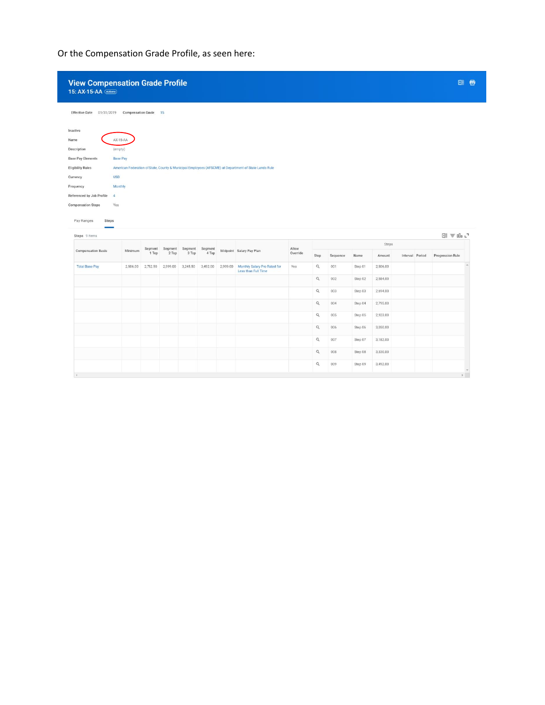Or the Compensation Grade Profile, as seen here:

| 15: AX-15-AA (Actions)                                                                                         | <b>View Compensation Grade Profile</b> |                  |                  |                  |                  |          |                                                                                                       |                   |                |          |         |          |                 | 团骨               |
|----------------------------------------------------------------------------------------------------------------|----------------------------------------|------------------|------------------|------------------|------------------|----------|-------------------------------------------------------------------------------------------------------|-------------------|----------------|----------|---------|----------|-----------------|------------------|
| <b>Effective Date</b><br>01/31/2019                                                                            | <b>Compensation Grade</b>              |                  | 15               |                  |                  |          |                                                                                                       |                   |                |          |         |          |                 |                  |
| Inactive                                                                                                       |                                        |                  |                  |                  |                  |          |                                                                                                       |                   |                |          |         |          |                 |                  |
| Name                                                                                                           | AX-15-AA                               |                  |                  |                  |                  |          |                                                                                                       |                   |                |          |         |          |                 |                  |
| Description                                                                                                    | (empty)                                |                  |                  |                  |                  |          |                                                                                                       |                   |                |          |         |          |                 |                  |
| <b>Base Pay Elements</b>                                                                                       | <b>Base Pay</b>                        |                  |                  |                  |                  |          |                                                                                                       |                   |                |          |         |          |                 |                  |
| <b>Eligibility Rules</b>                                                                                       |                                        |                  |                  |                  |                  |          | American Federation of State, County & Municipal Employees (AFSCME) at Department of State Lands Rule |                   |                |          |         |          |                 |                  |
| Currency                                                                                                       | <b>USD</b>                             |                  |                  |                  |                  |          |                                                                                                       |                   |                |          |         |          |                 |                  |
| Frequency                                                                                                      | Monthly                                |                  |                  |                  |                  |          |                                                                                                       |                   |                |          |         |          |                 |                  |
| Referenced by Job Profile                                                                                      | $\sim$                                 |                  |                  |                  |                  |          |                                                                                                       |                   |                |          |         |          |                 |                  |
| Yes<br>Steps                                                                                                   |                                        |                  |                  |                  |                  |          |                                                                                                       |                   |                |          |         |          |                 |                  |
|                                                                                                                |                                        |                  |                  |                  |                  |          |                                                                                                       |                   |                |          |         | Steps    |                 | 图 三叩·            |
|                                                                                                                | Minimum                                | Segment<br>1 Top | Segment<br>2 Top | Segment<br>3 Top | Segment<br>4 Top |          | Midpoint Salary Pay Plan                                                                              | Allow<br>Override | Step           | Sequence | Name    | Amount   | Interval Period | Progression Rule |
|                                                                                                                | 2,506.00                               | 2,752.50         | 2,999.00         | 3,245.50         | 3,492.00         | 2,999.00 | Monthly Salary Pro Rated for<br>Less than Full Time                                                   | Yes               | $\hbox{\tt Q}$ | 001      | Step 01 | 2,506.00 |                 |                  |
|                                                                                                                |                                        |                  |                  |                  |                  |          |                                                                                                       |                   | Q              | 002      | Step 02 | 2,584.00 |                 |                  |
|                                                                                                                |                                        |                  |                  |                  |                  |          |                                                                                                       |                   | $\alpha$       | 003      | Step 03 | 2,694.00 |                 |                  |
|                                                                                                                |                                        |                  |                  |                  |                  |          |                                                                                                       |                   | Q              | 004      | Step 04 | 2,795.00 |                 |                  |
|                                                                                                                |                                        |                  |                  |                  |                  |          |                                                                                                       |                   | $\alpha$       | 005      | Step 05 | 2,923.00 |                 |                  |
|                                                                                                                |                                        |                  |                  |                  |                  |          |                                                                                                       |                   |                |          |         |          |                 |                  |
|                                                                                                                |                                        |                  |                  |                  |                  |          |                                                                                                       |                   | $\alpha$       | 006      | Step 06 | 3,050.00 |                 |                  |
|                                                                                                                |                                        |                  |                  |                  |                  |          |                                                                                                       |                   | $\alpha$       | 007      | Step 07 | 3,182.00 |                 |                  |
| <b>Compensation Steps</b><br>Pay Ranges<br>Steps 9 items<br><b>Compensation Basis</b><br><b>Total Base Pay</b> |                                        |                  |                  |                  |                  |          |                                                                                                       |                   | Q              | 008      | Step 08 | 3,330.00 |                 |                  |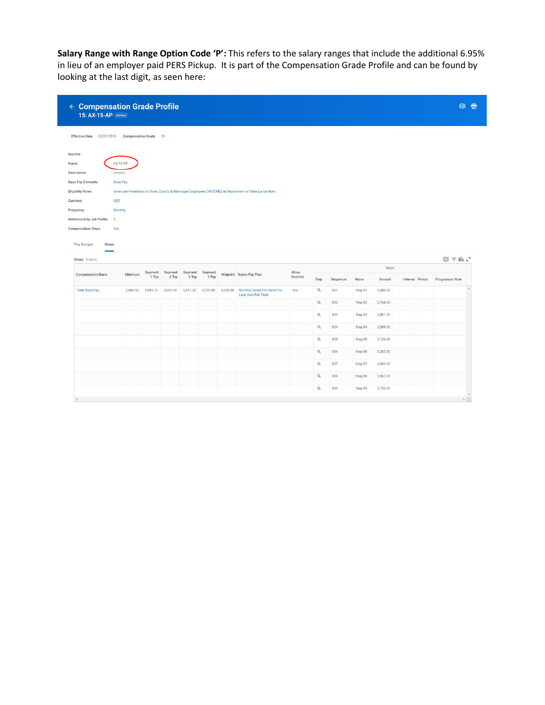**Salary Range with Range Option Code 'P':** This refers to the salary ranges that include the additional 6.95% in lieu of an employer paid PERS Pickup. It is part of the Compensation Grade Profile and can be found by looking at the last digit, as seen here:

| $\leftarrow$ Compensation Grade Profile<br>15: AX-15-AP (Actions)                                              |                              |                  |                  |                  |                   |          |                                                                                                       |                   |                |          |         |          |                 |                       | 团目 |
|----------------------------------------------------------------------------------------------------------------|------------------------------|------------------|------------------|------------------|-------------------|----------|-------------------------------------------------------------------------------------------------------|-------------------|----------------|----------|---------|----------|-----------------|-----------------------|----|
| <b>Effective Date</b><br>02/01/2019                                                                            | <b>Compensation Grade</b> 15 |                  |                  |                  |                   |          |                                                                                                       |                   |                |          |         |          |                 |                       |    |
| Inactive                                                                                                       |                              |                  |                  |                  |                   |          |                                                                                                       |                   |                |          |         |          |                 |                       |    |
| Name                                                                                                           | $AX-15-AP$                   |                  |                  |                  |                   |          |                                                                                                       |                   |                |          |         |          |                 |                       |    |
| Description<br>(empty)                                                                                         |                              |                  |                  |                  |                   |          |                                                                                                       |                   |                |          |         |          |                 |                       |    |
| <b>Base Pay Elements</b>                                                                                       | <b>Base Pay</b>              |                  |                  |                  |                   |          |                                                                                                       |                   |                |          |         |          |                 |                       |    |
| <b>Eligibility Rules</b>                                                                                       |                              |                  |                  |                  |                   |          | American Federation of State, County & Municipal Employees (AFSCME) at Department of State Lands Rule |                   |                |          |         |          |                 |                       |    |
| <b>USD</b><br>Currency                                                                                         |                              |                  |                  |                  |                   |          |                                                                                                       |                   |                |          |         |          |                 |                       |    |
| Frequency<br>Referenced by Job Profile<br>2                                                                    | Monthly                      |                  |                  |                  |                   |          |                                                                                                       |                   |                |          |         |          |                 |                       |    |
| Yes                                                                                                            |                              |                  |                  |                  |                   |          |                                                                                                       |                   |                |          |         |          |                 |                       |    |
| Steps                                                                                                          |                              |                  |                  |                  |                   |          |                                                                                                       |                   |                |          |         | Steps    |                 | 图 〒 do L <sup>7</sup> |    |
|                                                                                                                | Minimum                      | Segment<br>1 Top | Segment<br>2 Top | Segment<br>3 Top | Segment<br>4 Top  |          | Midpoint Salary Pay Plan                                                                              | Allow<br>Override | Step           | Sequence | Name    | Amount   | Interval Period | Progression Rule      |    |
|                                                                                                                | 2,680.00                     | 2,943.75         | 3,207.50         |                  | 3,471.25 3,735.00 | 3,208.00 | Monthly Salary Pro Rated for<br>Less than Full Time                                                   | Yes               | $\alpha$       | 001      | Step 01 | 2,680.00 |                 |                       |    |
|                                                                                                                |                              |                  |                  |                  |                   |          |                                                                                                       |                   | $\alpha$       | 002      | Step 02 | 2,764.00 |                 |                       |    |
|                                                                                                                |                              |                  |                  |                  |                   |          |                                                                                                       |                   | $\mathsf{Q}_i$ | 003      | Step 03 | 2,881.00 |                 |                       |    |
|                                                                                                                |                              |                  |                  |                  |                   |          |                                                                                                       |                   | $\hbox{\tt Q}$ | 004      | Step 04 | 2,989.00 |                 |                       |    |
|                                                                                                                |                              |                  |                  |                  |                   |          |                                                                                                       |                   | $\hbox{\tt Q}$ | 005      | Step 05 | 3,126.00 |                 |                       |    |
|                                                                                                                |                              |                  |                  |                  |                   |          |                                                                                                       |                   | $\mathsf Q$    | 006      | Step 06 | 3,262.00 |                 |                       |    |
|                                                                                                                |                              |                  |                  |                  |                   |          |                                                                                                       |                   | $\mathsf Q$    | 007      | Step 07 | 3,403.00 |                 |                       |    |
| <b>Compensation Steps</b><br>Pay Ranges<br>Steps 9 items<br><b>Compensation Basis</b><br><b>Total Base Pay</b> |                              |                  |                  |                  |                   |          |                                                                                                       |                   | $\hbox{\tt Q}$ | 008      | Step 08 | 3,561.00 |                 |                       |    |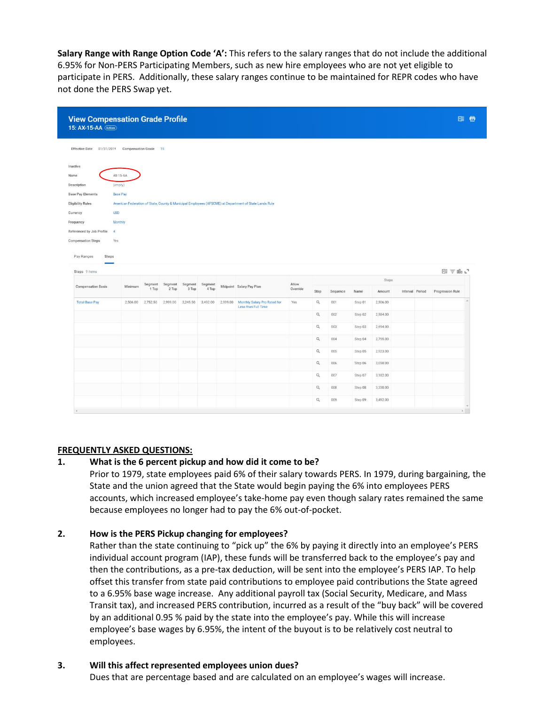**Salary Range with Range Option Code 'A':** This refers to the salary ranges that do not include the additional 6.95% for Non-PERS Participating Members, such as new hire employees who are not yet eligible to participate in PERS. Additionally, these salary ranges continue to be maintained for REPR codes who have not done the PERS Swap yet.

| 15: AX-15-AA (Actions)                             | <b>View Compensation Grade Profile</b> |                  |                  |                  |                  |          |                                                                                                       |                   |                |          |         |          |                 |                       | 图 香 |
|----------------------------------------------------|----------------------------------------|------------------|------------------|------------------|------------------|----------|-------------------------------------------------------------------------------------------------------|-------------------|----------------|----------|---------|----------|-----------------|-----------------------|-----|
| Effective Date 01/31/2019 Compensation Grade       |                                        |                  | 15               |                  |                  |          |                                                                                                       |                   |                |          |         |          |                 |                       |     |
| Inactive                                           |                                        |                  |                  |                  |                  |          |                                                                                                       |                   |                |          |         |          |                 |                       |     |
| Name                                               | AX-15-AA                               |                  |                  |                  |                  |          |                                                                                                       |                   |                |          |         |          |                 |                       |     |
| Description                                        | (empty)                                |                  |                  |                  |                  |          |                                                                                                       |                   |                |          |         |          |                 |                       |     |
| <b>Base Pay Elements</b>                           | <b>Base Pay</b>                        |                  |                  |                  |                  |          |                                                                                                       |                   |                |          |         |          |                 |                       |     |
| <b>Eligibility Rules</b><br><b>USD</b><br>Currency |                                        |                  |                  |                  |                  |          | American Federation of State, County & Municipal Employees (AFSCME) at Department of State Lands Rule |                   |                |          |         |          |                 |                       |     |
| Frequency                                          | Monthly                                |                  |                  |                  |                  |          |                                                                                                       |                   |                |          |         |          |                 |                       |     |
| Referenced by Job Profile<br>$\frac{4}{3}$         |                                        |                  |                  |                  |                  |          |                                                                                                       |                   |                |          |         |          |                 |                       |     |
| <b>Compensation Steps</b><br>Yes                   |                                        |                  |                  |                  |                  |          |                                                                                                       |                   |                |          |         |          |                 |                       |     |
|                                                    |                                        |                  |                  |                  |                  |          |                                                                                                       |                   |                |          |         |          |                 |                       |     |
| Steps 9 items                                      |                                        |                  |                  |                  |                  |          |                                                                                                       |                   |                |          |         | Steps    |                 | 图 〒 do L <sup>7</sup> |     |
| <b>Compensation Basis</b>                          | Minimum                                | Segment<br>1 Top | Segment<br>2 Top | Segment<br>3 Top | Segment<br>4 Top |          | Midpoint Salary Pay Plan                                                                              | Allow<br>Override | Step           | Sequence | Name    | Amount   | Interval Period | Progression Rule      |     |
| <b>Total Base Pay</b>                              | 2,506.00                               | 2,752.50         | 2,999.00         | 3,245.50         | 3,492.00         | 2,999.00 | Monthly Salary Pro Rated for<br>Less than Full Time                                                   | Yes               | $\alpha$       | 001      | Step 01 | 2,506.00 |                 |                       |     |
|                                                    |                                        |                  |                  |                  |                  |          |                                                                                                       |                   | $\alpha$       | 002      | Step 02 | 2,584.00 |                 |                       |     |
|                                                    |                                        |                  |                  |                  |                  |          |                                                                                                       |                   | $\hbox{\tt Q}$ | 003      | Step 03 | 2,694.00 |                 |                       |     |
|                                                    |                                        |                  |                  |                  |                  |          |                                                                                                       |                   | $\alpha$       | 004      | Step 04 | 2,795.00 |                 |                       |     |
|                                                    |                                        |                  |                  |                  |                  |          |                                                                                                       |                   | $\alpha$       | 005      | Step 05 | 2,923.00 |                 |                       |     |
|                                                    |                                        |                  |                  |                  |                  |          |                                                                                                       |                   | $\alpha$       | 006      | Step 06 | 3,050.00 |                 |                       |     |
|                                                    |                                        |                  |                  |                  |                  |          |                                                                                                       |                   |                | 007      |         |          |                 |                       |     |
|                                                    |                                        |                  |                  |                  |                  |          |                                                                                                       |                   | $\mathsf Q$    |          | Step 07 | 3,182.00 |                 |                       |     |
|                                                    |                                        |                  |                  |                  |                  |          |                                                                                                       |                   | $\hbox{\tt Q}$ | 008      | Step 08 | 3,330.00 |                 |                       |     |
|                                                    |                                        |                  |                  |                  |                  |          |                                                                                                       |                   | $\alpha$       | 009      | Step 09 | 3,492.00 |                 |                       |     |

#### **FREQUENTLY ASKED QUESTIONS:**

#### **1. What is the 6 percent pickup and how did it come to be?**

Prior to 1979, state employees paid 6% of their salary towards PERS. In 1979, during bargaining, the State and the union agreed that the State would begin paying the 6% into employees PERS accounts, which increased employee's take-home pay even though salary rates remained the same because employees no longer had to pay the 6% out-of-pocket.

#### **2. How is the PERS Pickup changing for employees?**

Rather than the state continuing to "pick up" the 6% by paying it directly into an employee's PERS individual account program (IAP), these funds will be transferred back to the employee's pay and then the contributions, as a pre-tax deduction, will be sent into the employee's PERS IAP. To help offset this transfer from state paid contributions to employee paid contributions the State agreed to a 6.95% base wage increase. Any additional payroll tax (Social Security, Medicare, and Mass Transit tax), and increased PERS contribution, incurred as a result of the "buy back" will be covered by an additional 0.95 % paid by the state into the employee's pay. While this will increase employee's base wages by 6.95%, the intent of the buyout is to be relatively cost neutral to employees.

#### **3. Will this affect represented employees union dues?**

Dues that are percentage based and are calculated on an employee's wages will increase.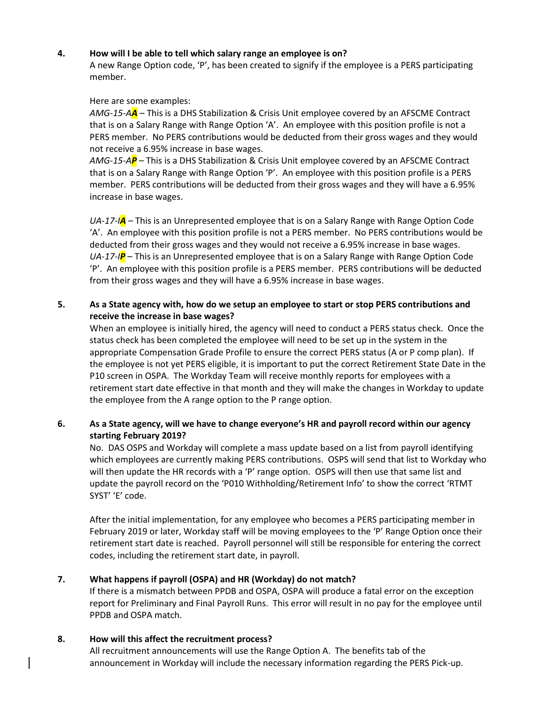#### **4. How will I be able to tell which salary range an employee is on?**

A new Range Option code, 'P', has been created to signify if the employee is a PERS participating member.

#### Here are some examples:

*AMG-15-AA* – This is a DHS Stabilization & Crisis Unit employee covered by an AFSCME Contract that is on a Salary Range with Range Option 'A'. An employee with this position profile is not a PERS member. No PERS contributions would be deducted from their gross wages and they would not receive a 6.95% increase in base wages.

*AMG-15-AP* – This is a DHS Stabilization & Crisis Unit employee covered by an AFSCME Contract that is on a Salary Range with Range Option 'P'. An employee with this position profile is a PERS member. PERS contributions will be deducted from their gross wages and they will have a 6.95% increase in base wages.

*UA-17-IA* – This is an Unrepresented employee that is on a Salary Range with Range Option Code 'A'. An employee with this position profile is not a PERS member. No PERS contributions would be deducted from their gross wages and they would not receive a 6.95% increase in base wages. *UA-17-IP* – This is an Unrepresented employee that is on a Salary Range with Range Option Code 'P'. An employee with this position profile is a PERS member. PERS contributions will be deducted from their gross wages and they will have a 6.95% increase in base wages.

### **5. As a State agency with, how do we setup an employee to start or stop PERS contributions and receive the increase in base wages?**

When an employee is initially hired, the agency will need to conduct a PERS status check. Once the status check has been completed the employee will need to be set up in the system in the appropriate Compensation Grade Profile to ensure the correct PERS status (A or P comp plan). If the employee is not yet PERS eligible, it is important to put the correct Retirement State Date in the P10 screen in OSPA. The Workday Team will receive monthly reports for employees with a retirement start date effective in that month and they will make the changes in Workday to update the employee from the A range option to the P range option.

# **6. As a State agency, will we have to change everyone's HR and payroll record within our agency starting February 2019?**

No. DAS OSPS and Workday will complete a mass update based on a list from payroll identifying which employees are currently making PERS contributions. OSPS will send that list to Workday who will then update the HR records with a 'P' range option. OSPS will then use that same list and update the payroll record on the 'P010 Withholding/Retirement Info' to show the correct 'RTMT SYST' 'E' code.

After the initial implementation, for any employee who becomes a PERS participating member in February 2019 or later, Workday staff will be moving employees to the 'P' Range Option once their retirement start date is reached. Payroll personnel will still be responsible for entering the correct codes, including the retirement start date, in payroll.

# **7. What happens if payroll (OSPA) and HR (Workday) do not match?**

If there is a mismatch between PPDB and OSPA, OSPA will produce a fatal error on the exception report for Preliminary and Final Payroll Runs. This error will result in no pay for the employee until PPDB and OSPA match.

# **8. How will this affect the recruitment process?**

All recruitment announcements will use the Range Option A. The benefits tab of the announcement in Workday will include the necessary information regarding the PERS Pick-up.